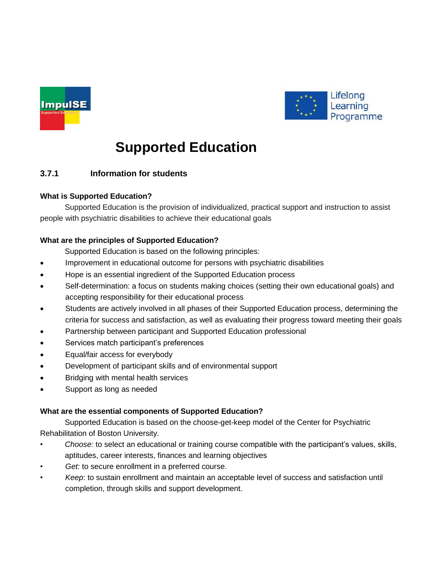



# **Supported Education**

# **3.7.1 Information for students**

# **What is Supported Education?**

Supported Education is the provision of individualized, practical support and instruction to assist people with psychiatric disabilities to achieve their educational goals

# **What are the principles of Supported Education?**

Supported Education is based on the following principles:

- Improvement in educational outcome for persons with psychiatric disabilities
- Hope is an essential ingredient of the Supported Education process
- Self-determination: a focus on students making choices (setting their own educational goals) and accepting responsibility for their educational process
- Students are actively involved in all phases of their Supported Education process, determining the criteria for success and satisfaction, as well as evaluating their progress toward meeting their goals
- Partnership between participant and Supported Education professional
- Services match participant's preferences
- Equal/fair access for everybody
- Development of participant skills and of environmental support
- Bridging with mental health services
- Support as long as needed

### **What are the essential components of Supported Education?**

Supported Education is based on the choose-get-keep model of the Center for Psychiatric Rehabilitation of Boston University.

- *Choose:* to select an educational or training course compatible with the participant's values, skills, aptitudes, career interests, finances and learning objectives
- Get: to secure enrollment in a preferred course.
- *Keep*: to sustain enrollment and maintain an acceptable level of success and satisfaction until completion, through skills and support development.